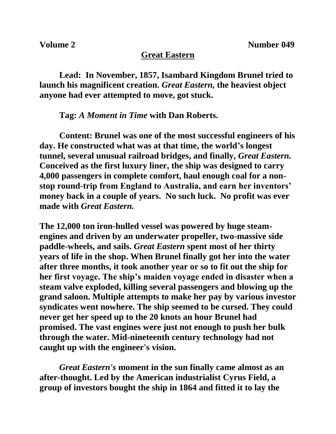## **Great Eastern**

**Lead: In November, 1857, Isambard Kingdom Brunel tried to launch his magnificent creation.** *Great Eastern,* **the heaviest object anyone had ever attempted to move, got stuck.**

**Tag:** *A Moment in Time* **with Dan Roberts.**

**Content: Brunel was one of the most successful engineers of his day. He constructed what was at that time, the world's longest tunnel, several unusual railroad bridges, and finally,** *Great Eastern.*  **Conceived as the first luxury liner, the ship was designed to carry 4,000 passengers in complete comfort, haul enough coal for a nonstop round-trip from England to Australia, and earn her inventors' money back in a couple of years. No such luck. No profit was ever made with** *Great Eastern.*

**The 12,000 ton iron-hulled vessel was powered by huge steamengines and driven by an underwater propeller, two-massive side paddle-wheels, and sails.** *Great Eastern* **spent most of her thirty years of life in the shop. When Brunel finally got her into the water after three months, it took another year or so to fit out the ship for her first voyage. The ship's maiden voyage ended in disaster when a steam valve exploded, killing several passengers and blowing up the grand saloon. Multiple attempts to make her pay by various investor syndicates went nowhere. The ship seemed to be cursed. They could never get her speed up to the 20 knots an hour Brunel had promised. The vast engines were just not enough to push her bulk through the water. Mid-nineteenth century technology had not caught up with the engineer's vision.**

*Great Eastern's* **moment in the sun finally came almost as an after-thought. Led by the American industrialist Cyrus Field, a group of investors bought the ship in 1864 and fitted it to lay the**